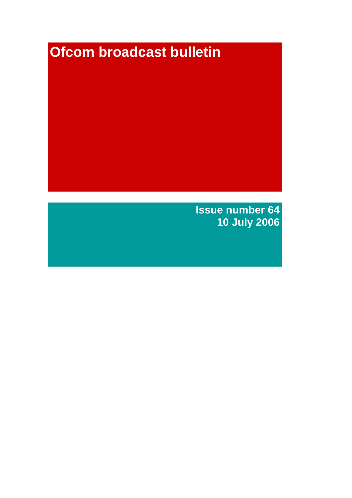# **Ofcom broadcast bulletin**

**Issue number 64 10 July 2006**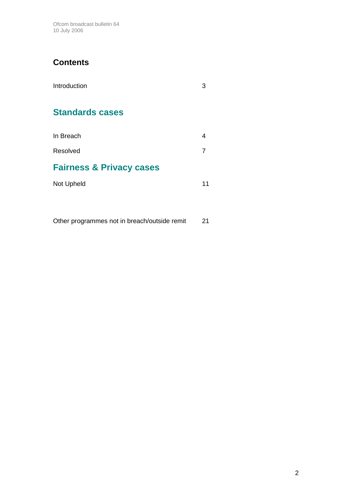Ofcom broadcast bulletin 64 10 July 2006

# **Contents**

| Introduction                        |    |
|-------------------------------------|----|
| <b>Standards cases</b>              |    |
| In Breach                           | 4  |
| Resolved                            | 7  |
| <b>Fairness &amp; Privacy cases</b> |    |
| Not Upheld                          | 11 |

Other programmes not in breach/outside remit 21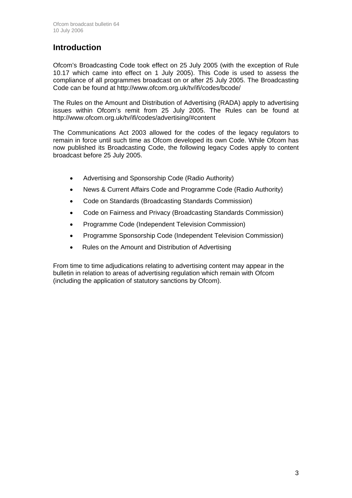# **Introduction**

Ofcom's Broadcasting Code took effect on 25 July 2005 (with the exception of Rule 10.17 which came into effect on 1 July 2005). This Code is used to assess the compliance of all programmes broadcast on or after 25 July 2005. The Broadcasting Code can be found at http://www.ofcom.org.uk/tv/ifi/codes/bcode/

The Rules on the Amount and Distribution of Advertising (RADA) apply to advertising issues within Ofcom's remit from 25 July 2005. The Rules can be found at http://www.ofcom.org.uk/tv/ifi/codes/advertising/#content

The Communications Act 2003 allowed for the codes of the legacy regulators to remain in force until such time as Ofcom developed its own Code. While Ofcom has now published its Broadcasting Code, the following legacy Codes apply to content broadcast before 25 July 2005.

- Advertising and Sponsorship Code (Radio Authority)
- News & Current Affairs Code and Programme Code (Radio Authority)
- Code on Standards (Broadcasting Standards Commission)
- Code on Fairness and Privacy (Broadcasting Standards Commission)
- Programme Code (Independent Television Commission)
- Programme Sponsorship Code (Independent Television Commission)
- Rules on the Amount and Distribution of Advertising

From time to time adjudications relating to advertising content may appear in the bulletin in relation to areas of advertising regulation which remain with Ofcom (including the application of statutory sanctions by Ofcom).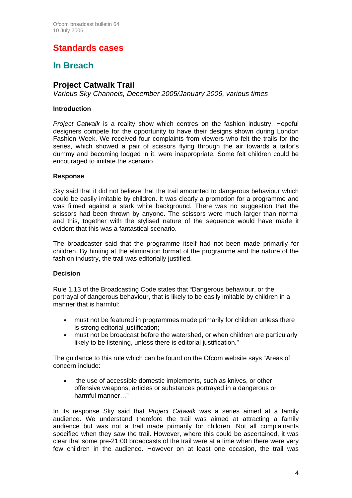# **Standards cases**

# **In Breach**

# **Project Catwalk Trail**

*Various Sky Channels, December 2005/January 2006, various times* 

### **Introduction**

*Project Catwalk* is a reality show which centres on the fashion industry. Hopeful designers compete for the opportunity to have their designs shown during London Fashion Week. We received four complaints from viewers who felt the trails for the series, which showed a pair of scissors flying through the air towards a tailor's dummy and becoming lodged in it, were inappropriate. Some felt children could be encouraged to imitate the scenario.

### **Response**

Sky said that it did not believe that the trail amounted to dangerous behaviour which could be easily imitable by children. It was clearly a promotion for a programme and was filmed against a stark white background. There was no suggestion that the scissors had been thrown by anyone. The scissors were much larger than normal and this, together with the stylised nature of the sequence would have made it evident that this was a fantastical scenario.

The broadcaster said that the programme itself had not been made primarily for children. By hinting at the elimination format of the programme and the nature of the fashion industry, the trail was editorially justified.

### **Decision**

Rule 1.13 of the Broadcasting Code states that "Dangerous behaviour, or the portrayal of dangerous behaviour, that is likely to be easily imitable by children in a manner that is harmful:

- must not be featured in programmes made primarily for children unless there is strong editorial justification:
- must not be broadcast before the watershed, or when children are particularly likely to be listening, unless there is editorial justification."

The guidance to this rule which can be found on the Ofcom website says "Areas of concern include:

the use of accessible domestic implements, such as knives, or other offensive weapons, articles or substances portrayed in a dangerous or harmful manner…"

In its response Sky said that *Project Catwalk* was a series aimed at a family audience. We understand therefore the trail was aimed at attracting a family audience but was not a trail made primarily for children. Not all complainants specified when they saw the trail. However, where this could be ascertained, it was clear that some pre-21:00 broadcasts of the trail were at a time when there were very few children in the audience. However on at least one occasion, the trail was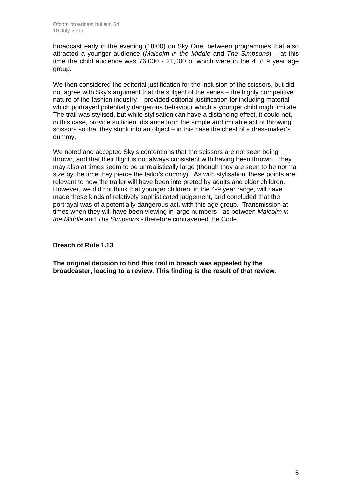broadcast early in the evening (18:00) on Sky One, between programmes that also attracted a younger audience (*Malcolm in the Middle* and *The Simpsons*) – at this time the child audience was 76,000 - 21,000 of which were in the 4 to 9 year age group.

We then considered the editorial justification for the inclusion of the scissors, but did not agree with Sky's argument that the subject of the series – the highly competitive nature of the fashion industry – provided editorial justification for including material which portrayed potentially dangerous behaviour which a younger child might imitate. The trail was stylised, but while stylisation can have a distancing effect, it could not, in this case, provide sufficient distance from the simple and imitable act of throwing scissors so that they stuck into an object – in this case the chest of a dressmaker's dummy.

We noted and accepted Sky's contentions that the scissors are not seen being thrown, and that their flight is not always consistent with having been thrown. They may also at times seem to be unrealistically large (though they are seen to be normal size by the time they pierce the tailor's dummy). As with stylisation, these points are relevant to how the trailer will have been interpreted by adults and older children. However, we did not think that younger children, in the 4-9 year range, will have made these kinds of relatively sophisticated judgement, and concluded that the portrayal was of a potentially dangerous act, with this age group. Transmission at times when they will have been viewing in large numbers - as between *Malcolm in the Middle* and *The Simpsons* - therefore contravened the Code.

**Breach of Rule 1.13** 

**The original decision to find this trail in breach was appealed by the broadcaster, leading to a review. This finding is the result of that review.**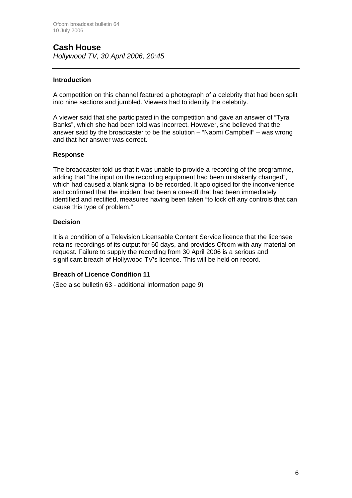# **Cash House**

*Hollywood TV, 30 April 2006, 20:45*

### **Introduction**

A competition on this channel featured a photograph of a celebrity that had been split into nine sections and jumbled. Viewers had to identify the celebrity.

A viewer said that she participated in the competition and gave an answer of "Tyra Banks", which she had been told was incorrect. However, she believed that the answer said by the broadcaster to be the solution – "Naomi Campbell" – was wrong and that her answer was correct.

### **Response**

The broadcaster told us that it was unable to provide a recording of the programme, adding that "the input on the recording equipment had been mistakenly changed", which had caused a blank signal to be recorded. It apologised for the inconvenience and confirmed that the incident had been a one-off that had been immediately identified and rectified, measures having been taken "to lock off any controls that can cause this type of problem."

### **Decision**

It is a condition of a Television Licensable Content Service licence that the licensee retains recordings of its output for 60 days, and provides Ofcom with any material on request. Failure to supply the recording from 30 April 2006 is a serious and significant breach of Hollywood TV's licence. This will be held on record.

### **Breach of Licence Condition 11**

(See also bulletin 63 - additional information page 9)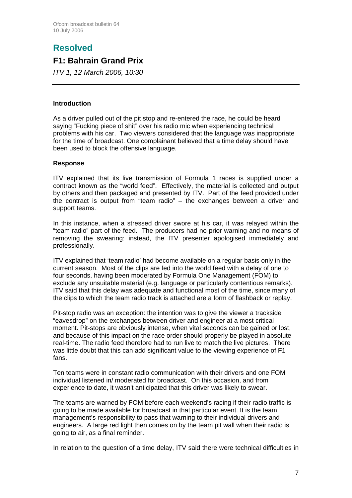# **Resolved**

# **F1: Bahrain Grand Prix**

*ITV 1, 12 March 2006, 10:30*

### **Introduction**

As a driver pulled out of the pit stop and re-entered the race, he could be heard saying "Fucking piece of shit" over his radio mic when experiencing technical problems with his car. Two viewers considered that the language was inappropriate for the time of broadcast. One complainant believed that a time delay should have been used to block the offensive language.

### **Response**

ITV explained that its live transmission of Formula 1 races is supplied under a contract known as the "world feed". Effectively, the material is collected and output by others and then packaged and presented by ITV. Part of the feed provided under the contract is output from "team radio" – the exchanges between a driver and support teams.

In this instance, when a stressed driver swore at his car, it was relayed within the "team radio" part of the feed. The producers had no prior warning and no means of removing the swearing: instead, the ITV presenter apologised immediately and professionally.

ITV explained that 'team radio' had become available on a regular basis only in the current season. Most of the clips are fed into the world feed with a delay of one to four seconds, having been moderated by Formula One Management (FOM) to exclude any unsuitable material (e.g. language or particularly contentious remarks). ITV said that this delay was adequate and functional most of the time, since many of the clips to which the team radio track is attached are a form of flashback or replay.

Pit-stop radio was an exception: the intention was to give the viewer a trackside "eavesdrop" on the exchanges between driver and engineer at a most critical moment. Pit-stops are obviously intense, when vital seconds can be gained or lost, and because of this impact on the race order should properly be played in absolute real-time. The radio feed therefore had to run live to match the live pictures. There was little doubt that this can add significant value to the viewing experience of F1 fans.

Ten teams were in constant radio communication with their drivers and one FOM individual listened in/ moderated for broadcast. On this occasion, and from experience to date, it wasn't anticipated that this driver was likely to swear.

The teams are warned by FOM before each weekend's racing if their radio traffic is going to be made available for broadcast in that particular event. It is the team management's responsibility to pass that warning to their individual drivers and engineers. A large red light then comes on by the team pit wall when their radio is going to air, as a final reminder.

In relation to the question of a time delay, ITV said there were technical difficulties in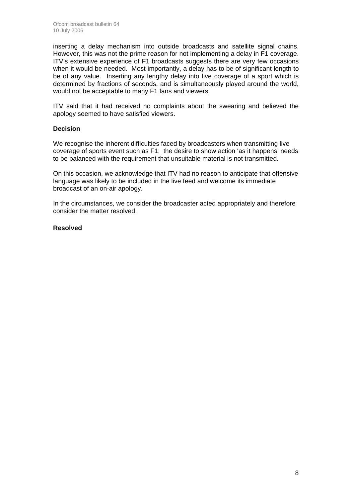inserting a delay mechanism into outside broadcasts and satellite signal chains. However, this was not the prime reason for not implementing a delay in F1 coverage. ITV's extensive experience of F1 broadcasts suggests there are very few occasions when it would be needed. Most importantly, a delay has to be of significant length to be of any value. Inserting any lengthy delay into live coverage of a sport which is determined by fractions of seconds, and is simultaneously played around the world, would not be acceptable to many F1 fans and viewers.

ITV said that it had received no complaints about the swearing and believed the apology seemed to have satisfied viewers.

### **Decision**

We recognise the inherent difficulties faced by broadcasters when transmitting live coverage of sports event such as F1: the desire to show action 'as it happens' needs to be balanced with the requirement that unsuitable material is not transmitted.

On this occasion, we acknowledge that ITV had no reason to anticipate that offensive language was likely to be included in the live feed and welcome its immediate broadcast of an on-air apology.

In the circumstances, we consider the broadcaster acted appropriately and therefore consider the matter resolved.

### **Resolved**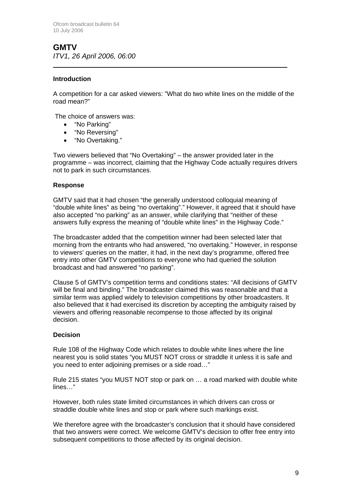**GMTV**  *ITV1, 26 April 2006, 06:00* 

### **Introduction**

 $\overline{a}$ 

A competition for a car asked viewers: "What do two white lines on the middle of the road mean?"

The choice of answers was:

- "No Parking"
- "No Reversing"
- "No Overtaking."

Two viewers believed that "No Overtaking" – the answer provided later in the programme – was incorrect, claiming that the Highway Code actually requires drivers not to park in such circumstances.

### **Response**

GMTV said that it had chosen "the generally understood colloquial meaning of "double white lines" as being "no overtaking"." However, it agreed that it should have also accepted "no parking" as an answer, while clarifying that "neither of these answers fully express the meaning of "double white lines" in the Highway Code."

The broadcaster added that the competition winner had been selected later that morning from the entrants who had answered, "no overtaking." However, in response to viewers' queries on the matter, it had, in the next day's programme, offered free entry into other GMTV competitions to everyone who had queried the solution broadcast and had answered "no parking".

Clause 5 of GMTV's competition terms and conditions states: "All decisions of GMTV will be final and binding." The broadcaster claimed this was reasonable and that a similar term was applied widely to television competitions by other broadcasters. It also believed that it had exercised its discretion by accepting the ambiguity raised by viewers and offering reasonable recompense to those affected by its original decision.

### **Decision**

Rule 108 of the Highway Code which relates to double white lines where the line nearest you is solid states "you MUST NOT cross or straddle it unless it is safe and you need to enter adjoining premises or a side road…"

Rule 215 states "you MUST NOT stop or park on … a road marked with double white lines…"

However, both rules state limited circumstances in which drivers can cross or straddle double white lines and stop or park where such markings exist.

We therefore agree with the broadcaster's conclusion that it should have considered that two answers were correct. We welcome GMTV's decision to offer free entry into subsequent competitions to those affected by its original decision.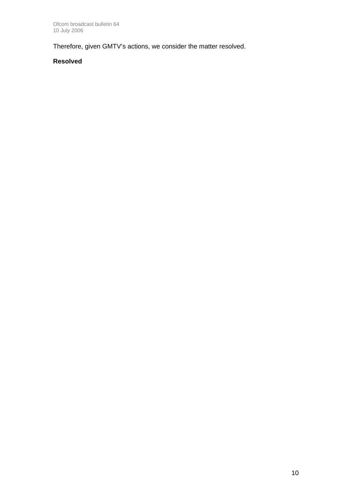Therefore, given GMTV's actions, we consider the matter resolved.

### **Resolved**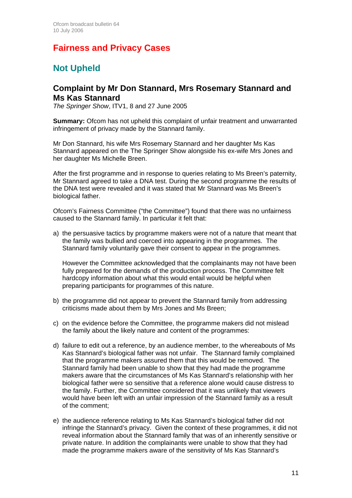# **Fairness and Privacy Cases**

# **Not Upheld**

### **Complaint by Mr Don Stannard, Mrs Rosemary Stannard and Ms Kas Stannard**

*The Springer Show*, ITV1, 8 and 27 June 2005

**Summary:** Ofcom has not upheld this complaint of unfair treatment and unwarranted infringement of privacy made by the Stannard family.

Mr Don Stannard, his wife Mrs Rosemary Stannard and her daughter Ms Kas Stannard appeared on the The Springer Show alongside his ex-wife Mrs Jones and her daughter Ms Michelle Breen.

After the first programme and in response to queries relating to Ms Breen's paternity, Mr Stannard agreed to take a DNA test. During the second programme the results of the DNA test were revealed and it was stated that Mr Stannard was Ms Breen's biological father.

Ofcom's Fairness Committee ("the Committee") found that there was no unfairness caused to the Stannard family. In particular it felt that:

a) the persuasive tactics by programme makers were not of a nature that meant that the family was bullied and coerced into appearing in the programmes. The Stannard family voluntarily gave their consent to appear in the programmes.

However the Committee acknowledged that the complainants may not have been fully prepared for the demands of the production process. The Committee felt hardcopy information about what this would entail would be helpful when preparing participants for programmes of this nature.

- b) the programme did not appear to prevent the Stannard family from addressing criticisms made about them by Mrs Jones and Ms Breen;
- c) on the evidence before the Committee, the programme makers did not mislead the family about the likely nature and content of the programmes:
- d) failure to edit out a reference, by an audience member, to the whereabouts of Ms Kas Stannard's biological father was not unfair. The Stannard family complained that the programme makers assured them that this would be removed. The Stannard family had been unable to show that they had made the programme makers aware that the circumstances of Ms Kas Stannard's relationship with her biological father were so sensitive that a reference alone would cause distress to the family. Further, the Committee considered that it was unlikely that viewers would have been left with an unfair impression of the Stannard family as a result of the comment;
- e) the audience reference relating to Ms Kas Stannard's biological father did not infringe the Stannard's privacy. Given the context of these programmes, it did not reveal information about the Stannard family that was of an inherently sensitive or private nature. In addition the complainants were unable to show that they had made the programme makers aware of the sensitivity of Ms Kas Stannard's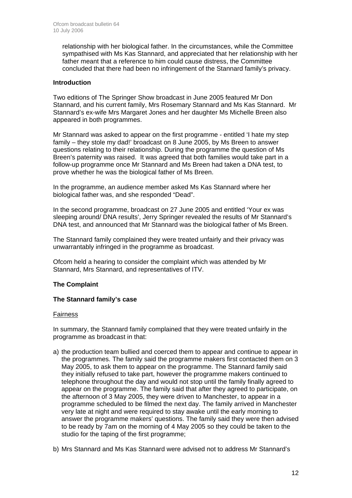relationship with her biological father. In the circumstances, while the Committee sympathised with Ms Kas Stannard, and appreciated that her relationship with her father meant that a reference to him could cause distress, the Committee concluded that there had been no infringement of the Stannard family's privacy.

### **Introduction**

Two editions of The Springer Show broadcast in June 2005 featured Mr Don Stannard, and his current family, Mrs Rosemary Stannard and Ms Kas Stannard. Mr Stannard's ex-wife Mrs Margaret Jones and her daughter Ms Michelle Breen also appeared in both programmes.

Mr Stannard was asked to appear on the first programme - entitled 'I hate my step family – they stole my dad!' broadcast on 8 June 2005, by Ms Breen to answer questions relating to their relationship. During the programme the question of Ms Breen's paternity was raised. It was agreed that both families would take part in a follow-up programme once Mr Stannard and Ms Breen had taken a DNA test, to prove whether he was the biological father of Ms Breen.

In the programme, an audience member asked Ms Kas Stannard where her biological father was, and she responded "Dead".

In the second programme, broadcast on 27 June 2005 and entitled 'Your ex was sleeping around/ DNA results', Jerry Springer revealed the results of Mr Stannard's DNA test, and announced that Mr Stannard was the biological father of Ms Breen.

The Stannard family complained they were treated unfairly and their privacy was unwarrantably infringed in the programme as broadcast.

Ofcom held a hearing to consider the complaint which was attended by Mr Stannard, Mrs Stannard, and representatives of ITV.

### **The Complaint**

### **The Stannard family's case**

### Fairness

In summary, the Stannard family complained that they were treated unfairly in the programme as broadcast in that:

- a) the production team bullied and coerced them to appear and continue to appear in the programmes. The family said the programme makers first contacted them on 3 May 2005, to ask them to appear on the programme. The Stannard family said they initially refused to take part, however the programme makers continued to telephone throughout the day and would not stop until the family finally agreed to appear on the programme. The family said that after they agreed to participate, on the afternoon of 3 May 2005, they were driven to Manchester, to appear in a programme scheduled to be filmed the next day. The family arrived in Manchester very late at night and were required to stay awake until the early morning to answer the programme makers' questions. The family said they were then advised to be ready by 7am on the morning of 4 May 2005 so they could be taken to the studio for the taping of the first programme;
- b) Mrs Stannard and Ms Kas Stannard were advised not to address Mr Stannard's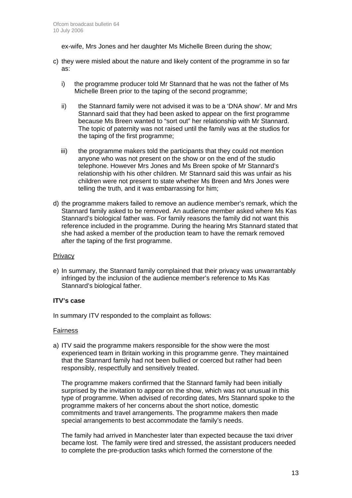ex-wife, Mrs Jones and her daughter Ms Michelle Breen during the show;

- c) they were misled about the nature and likely content of the programme in so far as:
	- i) the programme producer told Mr Stannard that he was not the father of Ms Michelle Breen prior to the taping of the second programme;
	- ii) the Stannard family were not advised it was to be a 'DNA show'. Mr and Mrs Stannard said that they had been asked to appear on the first programme because Ms Breen wanted to "sort out" her relationship with Mr Stannard. The topic of paternity was not raised until the family was at the studios for the taping of the first programme;
	- iii) the programme makers told the participants that they could not mention anyone who was not present on the show or on the end of the studio telephone. However Mrs Jones and Ms Breen spoke of Mr Stannard's relationship with his other children. Mr Stannard said this was unfair as his children were not present to state whether Ms Breen and Mrs Jones were telling the truth, and it was embarrassing for him;
- d) the programme makers failed to remove an audience member's remark, which the Stannard family asked to be removed. An audience member asked where Ms Kas Stannard's biological father was. For family reasons the family did not want this reference included in the programme. During the hearing Mrs Stannard stated that she had asked a member of the production team to have the remark removed after the taping of the first programme.

### **Privacy**

e) In summary, the Stannard family complained that their privacy was unwarrantably infringed by the inclusion of the audience member's reference to Ms Kas Stannard's biological father.

### **ITV's case**

In summary ITV responded to the complaint as follows:

### Fairness

a) ITV said the programme makers responsible for the show were the most experienced team in Britain working in this programme genre. They maintained that the Stannard family had not been bullied or coerced but rather had been responsibly, respectfully and sensitively treated.

 The programme makers confirmed that the Stannard family had been initially surprised by the invitation to appear on the show, which was not unusual in this type of programme. When advised of recording dates, Mrs Stannard spoke to the programme makers of her concerns about the short notice, domestic commitments and travel arrangements. The programme makers then made special arrangements to best accommodate the family's needs.

The family had arrived in Manchester later than expected because the taxi driver became lost. The family were tired and stressed, the assistant producers needed to complete the pre-production tasks which formed the cornerstone of the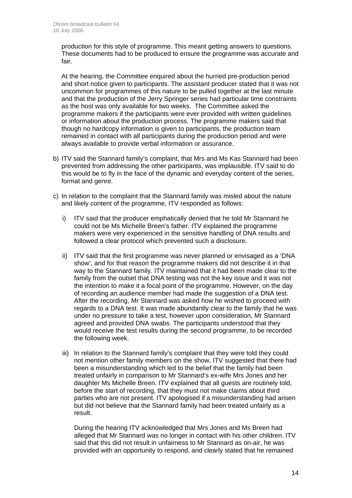production for this style of programme. This meant getting answers to questions. These documents had to be produced to ensure the programme was accurate and fair.

 At the hearing, the Committee enquired about the hurried pre-production period and short notice given to participants. The assistant producer stated that it was not uncommon for programmes of this nature to be pulled together at the last minute and that the production of the Jerry Springer series had particular time constraints as the host was only available for two weeks. The Committee asked the programme makers if the participants were ever provided with written guidelines or information about the production process. The programme makers said that though no hardcopy information is given to participants, the production team remained in contact with all participants during the production period and were always available to provide verbal information or assurance.

- b) ITV said the Stannard family's complaint, that Mrs and Ms Kas Stannard had been prevented from addressing the other participants, was implausible. ITV said to do this would be to fly in the face of the dynamic and everyday content of the series, format and genre.
- c) In relation to the complaint that the Stannard family was misled about the nature and likely content of the programme, ITV responded as follows:
	- i) ITV said that the producer emphatically denied that he told Mr Stannard he could not be Ms Michelle Breen's father. ITV explained the programme makers were very experienced in the sensitive handling of DNA results and followed a clear protocol which prevented such a disclosure.
	- ii) ITV said that the first programme was never planned or envisaged as a 'DNA show', and for that reason the programme makers did not describe it in that way to the Stannard family. ITV maintained that it had been made clear to the family from the outset that DNA testing was not the key issue and it was not the intention to make it a focal point of the programme. However, on the day of recording an audience member had made the suggestion of a DNA test. After the recording, Mr Stannard was asked how he wished to proceed with regards to a DNA test. It was made abundantly clear to the family that he was under no pressure to take a test, however upon consideration, Mr Stannard agreed and provided DNA swabs. The participants understood that they would receive the test results during the second programme, to be recorded the following week.
	- iii) In relation to the Stannard family's complaint that they were told they could not mention other family members on the show, ITV suggested that there had been a misunderstanding which led to the belief that the family had been treated unfairly in comparison to Mr Stannard's ex-wife Mrs Jones and her daughter Ms Michelle Breen. ITV explained that all guests are routinely told, before the start of recording, that they must not make claims about third parties who are not present. ITV apologised if a misunderstanding had arisen but did not believe that the Stannard family had been treated unfairly as a result.

During the hearing ITV acknowledged that Mrs Jones and Ms Breen had alleged that Mr Stannard was no longer in contact with his other children. ITV said that this did not result in unfairness to Mr Stannard as on-air, he was provided with an opportunity to respond, and clearly stated that he remained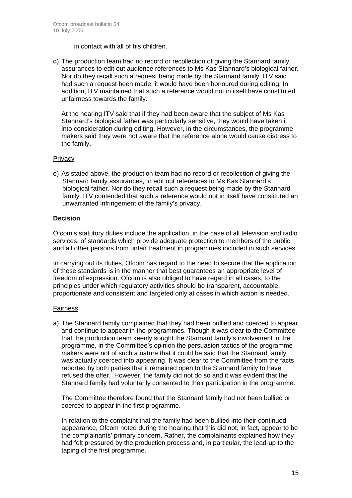in contact with all of his children.

d) The production team had no record or recollection of giving the Stannard family assurances to edit out audience references to Ms Kas Stannard's biological father. Nor do they recall such a request being made by the Stannard family. ITV said had such a request been made, it would have been honoured during editing. In addition, ITV maintained that such a reference would not in itself have constituted unfairness towards the family.

At the hearing ITV said that if they had been aware that the subject of Ms Kas Stannard's biological father was particularly sensitive, they would have taken it into consideration during editing. However, in the circumstances, the programme makers said they were not aware that the reference alone would cause distress to the family.

### **Privacy**

e) As stated above, the production team had no record or recollection of giving the Stannard family assurances, to edit out references to Ms Kas Stannard's biological father. Nor do they recall such a request being made by the Stannard family. ITV contended that such a reference would not in itself have constituted an unwarranted infringement of the family's privacy.

### **Decision**

Ofcom's statutory duties include the application, in the case of all television and radio services, of standards which provide adequate protection to members of the public and all other persons from unfair treatment in programmes included in such services.

In carrying out its duties, Ofcom has regard to the need to secure that the application of these standards is in the manner that best guarantees an appropriate level of freedom of expression. Ofcom is also obliged to have regard in all cases, to the principles under which regulatory activities should be transparent, accountable, proportionate and consistent and targeted only at cases in which action is needed.

### Fairness

a) The Stannard family complained that they had been bullied and coerced to appear and continue to appear in the programmes. Though it was clear to the Committee that the production team keenly sought the Stannard family's involvement in the programme, in the Committee's opinion the persuasion tactics of the programme makers were not of such a nature that it could be said that the Stannard family was actually coerced into appearing. It was clear to the Committee from the facts reported by both parties that it remained open to the Stannard family to have refused the offer. However, the family did not do so and it was evident that the Stannard family had voluntarily consented to their participation in the programme.

 The Committee therefore found that the Stannard family had not been bullied or coerced to appear in the first programme.

 In relation to the complaint that the family had been bullied into their continued appearance, Ofcom noted during the hearing that this did not, in fact, appear to be the complainants' primary concern. Rather, the complainants explained how they had felt pressured by the production process and, in particular, the lead-up to the taping of the first programme.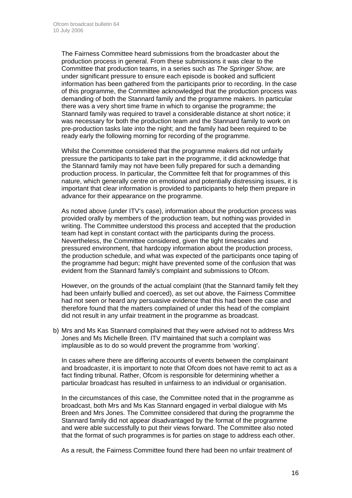The Fairness Committee heard submissions from the broadcaster about the production process in general. From these submissions it was clear to the Committee that production teams, in a series such as *The Springer Show,* are under significant pressure to ensure each episode is booked and sufficient information has been gathered from the participants prior to recording. In the case of this programme, the Committee acknowledged that the production process was demanding of both the Stannard family and the programme makers. In particular there was a very short time frame in which to organise the programme; the Stannard family was required to travel a considerable distance at short notice; it was necessary for both the production team and the Stannard family to work on pre-production tasks late into the night; and the family had been required to be ready early the following morning for recording of the programme.

 Whilst the Committee considered that the programme makers did not unfairly pressure the participants to take part in the programme, it did acknowledge that the Stannard family may not have been fully prepared for such a demanding production process. In particular, the Committee felt that for programmes of this nature, which generally centre on emotional and potentially distressing issues, it is important that clear information is provided to participants to help them prepare in advance for their appearance on the programme.

 As noted above (under ITV's case), information about the production process was provided orally by members of the production team, but nothing was provided in writing. The Committee understood this process and accepted that the production team had kept in constant contact with the participants during the process. Nevertheless, the Committee considered, given the tight timescales and pressured environment, that hardcopy information about the production process, the production schedule, and what was expected of the participants once taping of the programme had begun; might have prevented some of the confusion that was evident from the Stannard family's complaint and submissions to Ofcom.

 However, on the grounds of the actual complaint (that the Stannard family felt they had been unfairly bullied and coerced), as set out above, the Fairness Committee had not seen or heard any persuasive evidence that this had been the case and therefore found that the matters complained of under this head of the complaint did not result in any unfair treatment in the programme as broadcast.

b) Mrs and Ms Kas Stannard complained that they were advised not to address Mrs Jones and Ms Michelle Breen. ITV maintained that such a complaint was implausible as to do so would prevent the programme from 'working'.

 In cases where there are differing accounts of events between the complainant and broadcaster, it is important to note that Ofcom does not have remit to act as a fact finding tribunal. Rather, Ofcom is responsible for determining whether a particular broadcast has resulted in unfairness to an individual or organisation.

 In the circumstances of this case, the Committee noted that in the programme as broadcast, both Mrs and Ms Kas Stannard engaged in verbal dialogue with Ms Breen and Mrs Jones. The Committee considered that during the programme the Stannard family did not appear disadvantaged by the format of the programme and were able successfully to put their views forward. The Committee also noted that the format of such programmes is for parties on stage to address each other.

As a result, the Fairness Committee found there had been no unfair treatment of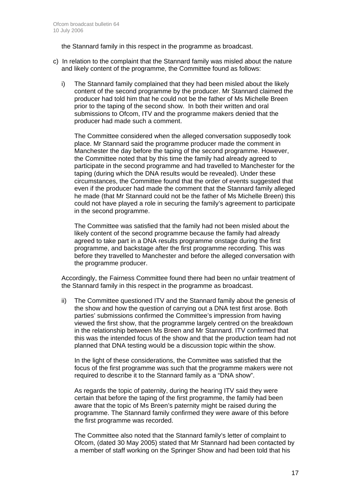the Stannard family in this respect in the programme as broadcast.

- c) In relation to the complaint that the Stannard family was misled about the nature and likely content of the programme, the Committee found as follows:
	- i) The Stannard family complained that they had been misled about the likely content of the second programme by the producer. Mr Stannard claimed the producer had told him that he could not be the father of Ms Michelle Breen prior to the taping of the second show. In both their written and oral submissions to Ofcom, ITV and the programme makers denied that the producer had made such a comment.

The Committee considered when the alleged conversation supposedly took place. Mr Stannard said the programme producer made the comment in Manchester the day before the taping of the second programme. However, the Committee noted that by this time the family had already agreed to participate in the second programme and had travelled to Manchester for the taping (during which the DNA results would be revealed). Under these circumstances, the Committee found that the order of events suggested that even if the producer had made the comment that the Stannard family alleged he made (that Mr Stannard could not be the father of Ms Michelle Breen) this could not have played a role in securing the family's agreement to participate in the second programme.

The Committee was satisfied that the family had not been misled about the likely content of the second programme because the family had already agreed to take part in a DNA results programme onstage during the first programme, and backstage after the first programme recording. This was before they travelled to Manchester and before the alleged conversation with the programme producer.

Accordingly, the Fairness Committee found there had been no unfair treatment of the Stannard family in this respect in the programme as broadcast.

 ii) The Committee questioned ITV and the Stannard family about the genesis of the show and how the question of carrying out a DNA test first arose. Both parties' submissions confirmed the Committee's impression from having viewed the first show, that the programme largely centred on the breakdown in the relationship between Ms Breen and Mr Stannard. ITV confirmed that this was the intended focus of the show and that the production team had not planned that DNA testing would be a discussion topic within the show.

In the light of these considerations, the Committee was satisfied that the focus of the first programme was such that the programme makers were not required to describe it to the Stannard family as a "DNA show".

As regards the topic of paternity, during the hearing ITV said they were certain that before the taping of the first programme, the family had been aware that the topic of Ms Breen's paternity might be raised during the programme. The Stannard family confirmed they were aware of this before the first programme was recorded.

The Committee also noted that the Stannard family's letter of complaint to Ofcom, (dated 30 May 2005) stated that Mr Stannard had been contacted by a member of staff working on the Springer Show and had been told that his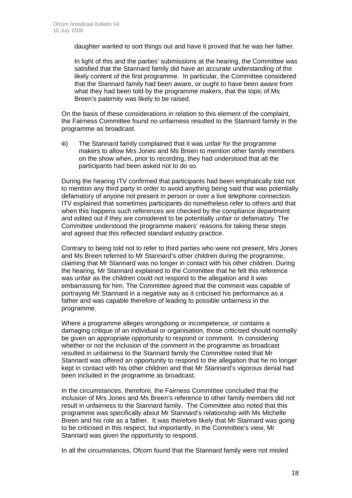daughter wanted to sort things out and have it proved that he was her father.

In light of this and the parties' submissions at the hearing, the Committee was satisfied that the Stannard family did have an accurate understanding of the likely content of the first programme. In particular, the Committee considered that the Stannard family had been aware, or ought to have been aware from what they had been told by the programme makers, that the topic of Ms Breen's paternity was likely to be raised.

On the basis of these considerations in relation to this element of the complaint, the Fairness Committee found no unfairness resulted to the Stannard family in the programme as broadcast.

iii) The Stannard family complained that it was unfair for the programme makers to allow Mrs Jones and Ms Breen to mention other family members on the show when, prior to recording, they had understood that all the participants had been asked not to do so.

During the hearing ITV confirmed that participants had been emphatically told not to mention any third party in order to avoid anything being said that was potentially defamatory of anyone not present in person or over a live telephone connection. ITV explained that sometimes participants do nonetheless refer to others and that when this happens such references are checked by the compliance department and edited out if they are considered to be potentially unfair or defamatory. The Committee understood the programme makers' reasons for taking these steps and agreed that this reflected standard industry practice.

Contrary to being told not to refer to third parties who were not present, Mrs Jones and Ms Breen referred to Mr Stannard's other children during the programme, claiming that Mr Stannard was no longer in contact with his other children. During the hearing, Mr Stannard explained to the Committee that he felt this reference was unfair as the children could not respond to the allegation and it was embarrassing for him. The Committee agreed that the comment was capable of portraying Mr Stannard in a negative way as it criticised his performance as a father and was capable therefore of leading to possible unfairness in the programme.

Where a programme alleges wrongdoing or incompetence, or contains a damaging critique of an individual or organisation, those criticised should normally be given an appropriate opportunity to respond or comment. In considering whether or not the inclusion of the comment in the programme as broadcast resulted in unfairness to the Stannard family the Committee noted that Mr Stannard was offered an opportunity to respond to the allegation that he no longer kept in contact with his other children and that Mr Stannard's vigorous denial had been included in the programme as broadcast.

In the circumstances, therefore, the Fairness Committee concluded that the inclusion of Mrs Jones and Ms Breen's reference to other family members did not result in unfairness to the Stannard family. The Committee also noted that this programme was specifically about Mr Stannard's relationship with Ms Michelle Breen and his role as a father. It was therefore likely that Mr Stannard was going to be criticised in this respect, but importantly, in the Committee's view, Mr Stannard was given the opportunity to respond.

In all the circumstances, Ofcom found that the Stannard family were not misled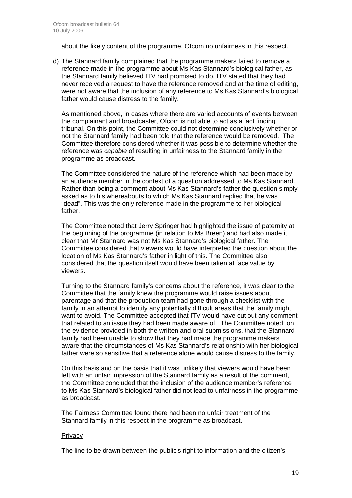about the likely content of the programme. Ofcom no unfairness in this respect.

d) The Stannard family complained that the programme makers failed to remove a reference made in the programme about Ms Kas Stannard's biological father, as the Stannard family believed ITV had promised to do. ITV stated that they had never received a request to have the reference removed and at the time of editing, were not aware that the inclusion of any reference to Ms Kas Stannard's biological father would cause distress to the family.

As mentioned above, in cases where there are varied accounts of events between the complainant and broadcaster, Ofcom is not able to act as a fact finding tribunal. On this point, the Committee could not determine conclusively whether or not the Stannard family had been told that the reference would be removed. The Committee therefore considered whether it was possible to determine whether the reference was *capable* of resulting in unfairness to the Stannard family in the programme as broadcast.

The Committee considered the nature of the reference which had been made by an audience member in the context of a question addressed to Ms Kas Stannard. Rather than being a comment about Ms Kas Stannard's father the question simply asked as to his whereabouts to which Ms Kas Stannard replied that he was "dead". This was the only reference made in the programme to her biological father.

The Committee noted that Jerry Springer had highlighted the issue of paternity at the beginning of the programme (in relation to Ms Breen) and had also made it clear that Mr Stannard was not Ms Kas Stannard's biological father. The Committee considered that viewers would have interpreted the question about the location of Ms Kas Stannard's father in light of this. The Committee also considered that the question itself would have been taken at face value by viewers.

Turning to the Stannard family's concerns about the reference, it was clear to the Committee that the family knew the programme would raise issues about parentage and that the production team had gone through a checklist with the family in an attempt to identify any potentially difficult areas that the family might want to avoid. The Committee accepted that ITV would have cut out any comment that related to an issue they had been made aware of. The Committee noted, on the evidence provided in both the written and oral submissions, that the Stannard family had been unable to show that they had made the programme makers aware that the circumstances of Ms Kas Stannard's relationship with her biological father were so sensitive that a reference alone would cause distress to the family.

On this basis and on the basis that it was unlikely that viewers would have been left with an unfair impression of the Stannard family as a result of the comment, the Committee concluded that the inclusion of the audience member's reference to Ms Kas Stannard's biological father did not lead to unfairness in the programme as broadcast.

The Fairness Committee found there had been no unfair treatment of the Stannard family in this respect in the programme as broadcast.

### **Privacy**

The line to be drawn between the public's right to information and the citizen's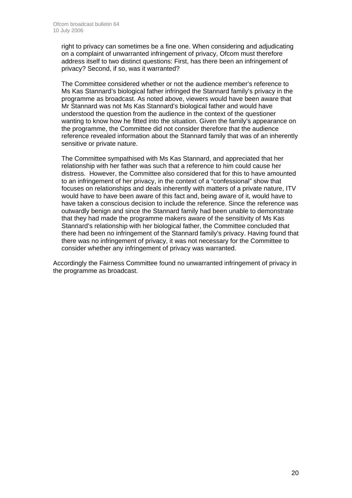right to privacy can sometimes be a fine one. When considering and adjudicating on a complaint of unwarranted infringement of privacy, Ofcom must therefore address itself to two distinct questions: First, has there been an infringement of privacy? Second, if so, was it warranted?

The Committee considered whether or not the audience member's reference to Ms Kas Stannard's biological father infringed the Stannard family's privacy in the programme as broadcast. As noted above, viewers would have been aware that Mr Stannard was not Ms Kas Stannard's biological father and would have understood the question from the audience in the context of the questioner wanting to know how he fitted into the situation. Given the family's appearance on the programme, the Committee did not consider therefore that the audience reference revealed information about the Stannard family that was of an inherently sensitive or private nature.

The Committee sympathised with Ms Kas Stannard, and appreciated that her relationship with her father was such that a reference to him could cause her distress. However, the Committee also considered that for this to have amounted to an infringement of her privacy, in the context of a "confessional" show that focuses on relationships and deals inherently with matters of a private nature, ITV would have to have been aware of this fact and, being aware of it, would have to have taken a conscious decision to include the reference. Since the reference was outwardly benign and since the Stannard family had been unable to demonstrate that they had made the programme makers aware of the sensitivity of Ms Kas Stannard's relationship with her biological father, the Committee concluded that there had been no infringement of the Stannard family's privacy. Having found that there was no infringement of privacy, it was not necessary for the Committee to consider whether any infringement of privacy was warranted.

Accordingly the Fairness Committee found no unwarranted infringement of privacy in the programme as broadcast.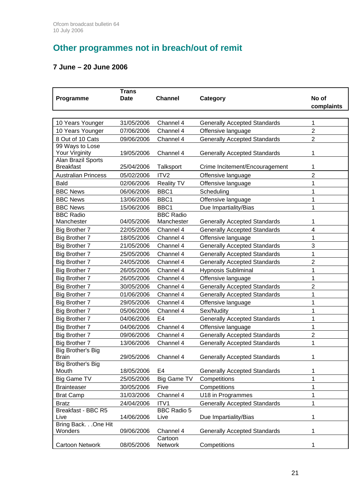# **Other programmes not in breach/out of remit**

# **7 June – 20 June 2006**

| Programme                                | <b>Trans</b><br><b>Date</b> | <b>Channel</b>                 | Category                            | No of<br>complaints |
|------------------------------------------|-----------------------------|--------------------------------|-------------------------------------|---------------------|
| 10 Years Younger                         | 31/05/2006                  | Channel 4                      | <b>Generally Accepted Standards</b> | $\mathbf 1$         |
| 10 Years Younger                         | 07/06/2006                  | Channel 4                      | Offensive language                  | $\overline{2}$      |
| 8 Out of 10 Cats                         | 09/06/2006                  | Channel 4                      | <b>Generally Accepted Standards</b> | $\overline{2}$      |
| 99 Ways to Lose                          |                             |                                |                                     |                     |
| Your Virginity                           | 19/05/2006                  | Channel 4                      | <b>Generally Accepted Standards</b> | 1                   |
| Alan Brazil Sports                       |                             |                                |                                     |                     |
| <b>Breakfast</b>                         | 25/04/2006                  | Talksport                      | Crime Incitement/Encouragement      | 1                   |
| <b>Australian Princess</b>               | 05/02/2006                  | ITV <sub>2</sub>               | Offensive language                  | $\overline{2}$      |
| <b>Bald</b>                              | 02/06/2006                  | <b>Reality TV</b>              | Offensive language                  | 1                   |
| <b>BBC News</b>                          | 06/06/2006                  | BBC1                           | Scheduling                          | 1                   |
| <b>BBC News</b>                          | 13/06/2006                  | BBC1                           | Offensive language                  | 1                   |
| <b>BBC News</b>                          | 15/06/2006                  | BBC1                           | Due Impartiality/Bias               | 1                   |
| <b>BBC Radio</b><br>Manchester           | 04/05/2006                  | <b>BBC Radio</b><br>Manchester | <b>Generally Accepted Standards</b> | 1                   |
| <b>Big Brother 7</b>                     | 22/05/2006                  | Channel 4                      | <b>Generally Accepted Standards</b> | $\overline{4}$      |
| <b>Big Brother 7</b>                     | 18/05/2006                  | Channel 4                      | Offensive language                  | $\mathbf{1}$        |
| <b>Big Brother 7</b>                     | 21/05/2006                  | Channel 4                      | <b>Generally Accepted Standards</b> | 3                   |
| Big Brother 7                            | 25/05/2006                  | Channel 4                      | <b>Generally Accepted Standards</b> | 1                   |
| Big Brother 7                            | 24/05/2006                  | Channel 4                      | <b>Generally Accepted Standards</b> | $\overline{2}$      |
| <b>Big Brother 7</b>                     | 26/05/2006                  | Channel 4                      | <b>Hypnosis Subliminal</b>          | 1                   |
| Big Brother 7                            | 26/05/2006                  | Channel 4                      | Offensive language                  | 1                   |
| <b>Big Brother 7</b>                     | 30/05/2006                  | Channel 4                      | <b>Generally Accepted Standards</b> | $\overline{2}$      |
| <b>Big Brother 7</b>                     | 01/06/2006                  | Channel 4                      | <b>Generally Accepted Standards</b> | 1                   |
| Big Brother 7                            | 29/05/2006                  | Channel 4                      | Offensive language                  | 1                   |
| Big Brother 7                            | 05/06/2006                  | Channel 4                      | Sex/Nudity                          | 1                   |
| Big Brother 7                            | 04/06/2006                  | E <sub>4</sub>                 | <b>Generally Accepted Standards</b> | 1                   |
| <b>Big Brother 7</b>                     | 04/06/2006                  | Channel 4                      | Offensive language                  | 1                   |
| <b>Big Brother 7</b>                     | 09/06/2006                  | Channel 4                      | <b>Generally Accepted Standards</b> | $\overline{2}$      |
| <b>Big Brother 7</b>                     | 13/06/2006                  | Channel 4                      | <b>Generally Accepted Standards</b> | 1                   |
| <b>Big Brother's Big</b><br><b>Brain</b> | 29/05/2006                  | Channel 4                      | <b>Generally Accepted Standards</b> | 1                   |
| <b>Big Brother's Big</b><br>Mouth        | 18/05/2006                  | E <sub>4</sub>                 | <b>Generally Accepted Standards</b> | 1                   |
| Big Game TV                              | 25/05/2006                  | Big Game TV                    | Competitions                        | 1                   |
| <b>Brainteaser</b>                       | 30/05/2006                  | Five                           | Competitions                        | $\mathbf{1}$        |
| <b>Brat Camp</b>                         | 31/03/2006                  | Channel 4                      | U18 in Programmes                   | $\mathbf 1$         |
| <b>Bratz</b>                             | 24/04/2006                  | ITV1                           | <b>Generally Accepted Standards</b> | 1                   |
| Breakfast - BBC R5                       |                             | <b>BBC Radio 5</b>             |                                     |                     |
| Live                                     | 14/06/2006                  | Live                           | Due Impartiality/Bias               | 1                   |
| Bring Back. One Hit                      |                             |                                |                                     |                     |
| Wonders                                  | 09/06/2006                  | Channel 4                      | <b>Generally Accepted Standards</b> | 1                   |
| <b>Cartoon Network</b>                   | 08/05/2006                  | Cartoon<br>Network             | Competitions                        | 1                   |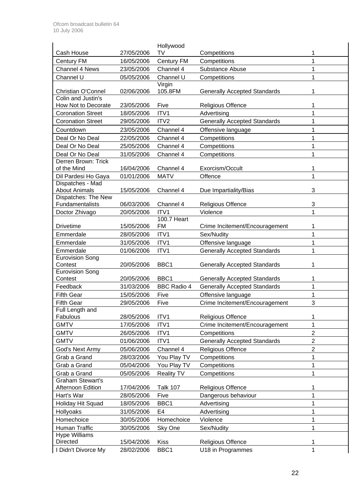|                                           |            | Hollywood          |                                     |                |
|-------------------------------------------|------------|--------------------|-------------------------------------|----------------|
| Cash House                                | 27/05/2006 | TV                 | Competitions                        | 1              |
| <b>Century FM</b>                         | 16/05/2006 | <b>Century FM</b>  | Competitions                        | 1              |
| Channel 4 News                            | 23/05/2006 | Channel 4          | Substance Abuse                     | 1              |
| Channel U                                 | 05/05/2006 | Channel U          | Competitions                        | 1              |
| Christian O'Connel                        | 02/06/2006 | Virgin<br>105.8FM  | <b>Generally Accepted Standards</b> | 1              |
| Colin and Justin's<br>How Not to Decorate | 23/05/2006 | Five               | <b>Religious Offence</b>            | 1              |
| <b>Coronation Street</b>                  |            | ITV1               |                                     |                |
|                                           | 18/05/2006 |                    | Advertising                         | 1              |
| <b>Coronation Street</b>                  | 29/05/2006 | ITV <sub>2</sub>   | <b>Generally Accepted Standards</b> | 1              |
| Countdown                                 | 23/05/2006 | Channel 4          | Offensive language                  | 1              |
| Deal Or No Deal                           | 22/05/2006 | Channel 4          | Competitions                        | 1              |
| Deal Or No Deal                           | 25/05/2006 | Channel 4          | Competitions                        | 1              |
| Deal Or No Deal                           | 31/05/2006 | Channel 4          | Competitions                        | 1              |
| Derren Brown: Trick                       |            |                    |                                     |                |
| of the Mind                               | 16/04/2006 | Channel 4          | Exorcism/Occult                     | 1              |
| Dil Pardesi Ho Gaya                       | 01/01/2006 | <b>MATV</b>        | Offence                             | 1              |
| Dispatches - Mad<br><b>About Animals</b>  | 15/05/2006 | Channel 4          | Due Impartiality/Bias               | 3              |
| Dispatches: The New                       |            |                    |                                     |                |
| Fundamentalists                           | 06/03/2006 | Channel 4          | <b>Religious Offence</b>            | 3              |
| Doctor Zhivago                            | 20/05/2006 | ITV1               | Violence                            | 1              |
|                                           |            | 100.7 Heart        |                                     |                |
| <b>Drivetime</b>                          | 15/05/2006 | <b>FM</b>          | Crime Incitement/Encouragement      | 1              |
| Emmerdale                                 | 28/05/2006 | ITV1               | Sex/Nudity                          | 1              |
| Emmerdale                                 | 31/05/2006 | ITV1               | Offensive language                  | 1              |
| Emmerdale                                 | 01/06/2006 | ITV1               | <b>Generally Accepted Standards</b> | 1              |
| <b>Eurovision Song</b>                    |            |                    |                                     |                |
| Contest                                   | 20/05/2006 | BBC1               | <b>Generally Accepted Standards</b> | 1              |
| <b>Eurovision Song</b>                    |            |                    |                                     |                |
| Contest                                   | 20/05/2006 | BBC1               | <b>Generally Accepted Standards</b> | 1              |
| Feedback                                  | 31/03/2006 | <b>BBC Radio 4</b> | <b>Generally Accepted Standards</b> | 1              |
| <b>Fifth Gear</b>                         | 15/05/2006 | Five               | Offensive language                  | 1              |
| <b>Fifth Gear</b>                         | 29/05/2006 | Five               | Crime Incitement/Encouragement      | 3              |
| Full Length and                           |            |                    |                                     |                |
| Fabulous                                  | 28/05/2006 | ITV1               | <b>Religious Offence</b>            | 1              |
| <b>GMTV</b>                               | 17/05/2006 | ITV1               | Crime Incitement/Encouragement      | 1              |
| <b>GMTV</b>                               | 26/05/2006 | ITV1               | Competitions                        | $\overline{2}$ |
| <b>GMTV</b>                               | 01/06/2006 | ITV1               | <b>Generally Accepted Standards</b> | $\overline{c}$ |
| God's Next Army                           | 05/06/2006 | Channel 4          | Religious Offence                   | $\overline{c}$ |
| Grab a Grand                              | 28/03/2006 | You Play TV        | Competitions                        | 1              |
| Grab a Grand                              | 05/04/2006 | You Play TV        | Competitions                        | 1              |
| Grab a Grand                              | 05/05/2006 | <b>Reality TV</b>  | Competitions                        | 1              |
| <b>Graham Stewart's</b>                   |            |                    |                                     |                |
| Afternoon Edition                         | 17/04/2006 | <b>Talk 107</b>    | <b>Religious Offence</b>            | 1              |
| Hart's War                                | 28/05/2006 | Five               | Dangerous behaviour                 | 1              |
| Holiday Hit Squad                         | 18/05/2006 | BBC1               | Advertising                         | 1              |
| Hollyoaks                                 | 31/05/2006 | E <sub>4</sub>     | Advertising                         | 1              |
| Homechoice                                | 30/05/2006 | Homechoice         | Violence                            | 1              |
| Human Traffic                             | 30/05/2006 | Sky One            | Sex/Nudity                          | 1              |
| <b>Hype Williams</b>                      |            |                    |                                     |                |
| <b>Directed</b>                           | 15/04/2006 | <b>Kiss</b>        | <b>Religious Offence</b>            | 1              |
| I Didn't Divorce My                       | 28/02/2006 | BBC1               | U18 in Programmes                   | 1              |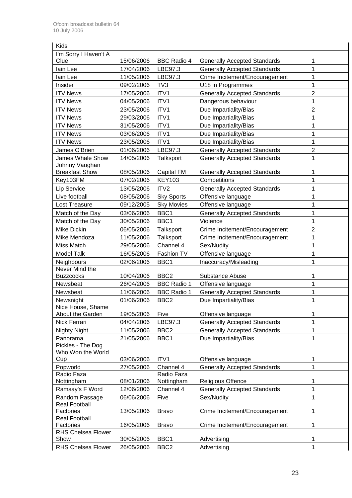| Kids                              |            |                    |                                     |                |
|-----------------------------------|------------|--------------------|-------------------------------------|----------------|
| I'm Sorry I Haven't A             |            |                    |                                     |                |
| Clue                              | 15/06/2006 | <b>BBC Radio 4</b> | <b>Generally Accepted Standards</b> | 1              |
| lain Lee                          | 17/04/2006 | LBC97.3            | <b>Generally Accepted Standards</b> | 1              |
| lain Lee                          | 11/05/2006 | LBC97.3            | Crime Incitement/Encouragement      | 1              |
| Insider                           | 09/02/2006 | TV3                | U18 in Programmes                   | 1              |
| <b>ITV News</b>                   | 17/05/2006 | ITV1               | <b>Generally Accepted Standards</b> | $\overline{2}$ |
| <b>ITV News</b>                   | 04/05/2006 | ITV1               | Dangerous behaviour                 | 1              |
| <b>ITV News</b>                   | 23/05/2006 | ITV1               | Due Impartiality/Bias               | $\overline{2}$ |
| <b>ITV News</b>                   | 29/03/2006 | ITV1               | Due Impartiality/Bias               | 1              |
| <b>ITV News</b>                   | 31/05/2006 | ITV1               | Due Impartiality/Bias               | 1              |
| <b>ITV News</b>                   | 03/06/2006 | ITV1               | Due Impartiality/Bias               | 1              |
| <b>ITV News</b>                   | 23/05/2006 | ITV1               | Due Impartiality/Bias               | 1              |
| James O'Brien                     | 01/06/2006 | LBC97.3            | <b>Generally Accepted Standards</b> | $\overline{2}$ |
| James Whale Show                  | 14/05/2006 | Talksport          | <b>Generally Accepted Standards</b> | 1              |
| Johnny Vaughan                    |            |                    |                                     |                |
| <b>Breakfast Show</b>             | 08/05/2006 | Capital FM         | <b>Generally Accepted Standards</b> | 1              |
| Key103FM                          | 07/02/2006 | <b>KEY103</b>      | Competitions                        | 1              |
| <b>Lip Service</b>                | 13/05/2006 | ITV2               | <b>Generally Accepted Standards</b> | 1              |
| Live football                     | 08/05/2006 | <b>Sky Sports</b>  | Offensive language                  | 1              |
| Lost Treasure                     | 09/12/2005 | <b>Sky Movies</b>  | Offensive language                  | 1              |
| Match of the Day                  | 03/06/2006 | BBC1               | <b>Generally Accepted Standards</b> | 1              |
| Match of the Day                  | 30/05/2006 | BBC1               | Violence                            | 1              |
| Mike Dickin                       | 06/05/2006 | <b>Talksport</b>   | Crime Incitement/Encouragement      | $\overline{2}$ |
| Mike Mendoza                      | 11/05/2006 | Talksport          | Crime Incitement/Encouragement      | 1              |
| Miss Match                        | 29/05/2006 | Channel 4          | Sex/Nudity                          | 1              |
| <b>Model Talk</b>                 | 16/05/2006 | Fashion TV         | Offensive language                  | 1              |
| Neighbours                        | 02/06/2006 | BBC1               | Inaccuracy/Misleading               | 1              |
| Never Mind the                    |            |                    |                                     |                |
| <b>Buzzcocks</b>                  | 10/04/2006 | BBC <sub>2</sub>   | <b>Substance Abuse</b>              | 1              |
| Newsbeat                          | 26/04/2006 | <b>BBC Radio 1</b> | Offensive language                  | 1              |
| Newsbeat                          | 11/06/2006 | <b>BBC Radio 1</b> | <b>Generally Accepted Standards</b> | 1              |
| Newsnight                         | 01/06/2006 | BBC <sub>2</sub>   | Due Impartiality/Bias               | 1              |
| Nice House, Shame                 |            |                    |                                     |                |
| About the Garden                  | 19/05/2006 | Five               | Offensive language                  | 1              |
| Nick Ferrari                      | 04/04/2006 | LBC97.3            | <b>Generally Accepted Standards</b> | 1              |
| Nighty Night                      | 11/05/2006 | BBC <sub>2</sub>   | <b>Generally Accepted Standards</b> | 1              |
| Panorama                          | 21/05/2006 | BBC1               | Due Impartiality/Bias               | 1              |
| Pickles - The Dog                 |            |                    |                                     |                |
| Who Won the World                 |            |                    |                                     |                |
| Cup                               | 03/06/2006 | ITV1               | Offensive language                  | 1              |
| Popworld                          | 27/05/2006 | Channel 4          | <b>Generally Accepted Standards</b> | 1              |
| Radio Faza                        |            | Radio Faza         |                                     |                |
| Nottingham                        | 08/01/2006 | Nottingham         | <b>Religious Offence</b>            | 1              |
| Ramsay's F Word                   | 12/06/2006 | Channel 4          | <b>Generally Accepted Standards</b> | 1              |
| Random Passage                    | 06/06/2006 | Five               | Sex/Nudity                          | 1              |
| <b>Real Football</b><br>Factories | 13/05/2006 | <b>Bravo</b>       | Crime Incitement/Encouragement      | 1              |
| <b>Real Football</b>              |            |                    |                                     |                |
| Factories                         | 16/05/2006 | <b>Bravo</b>       | Crime Incitement/Encouragement      | 1              |
| <b>RHS Chelsea Flower</b>         |            |                    |                                     |                |
| Show                              | 30/05/2006 | BBC1               | Advertising                         | 1              |
| RHS Chelsea Flower                | 26/05/2006 | BBC <sub>2</sub>   | Advertising                         | 1              |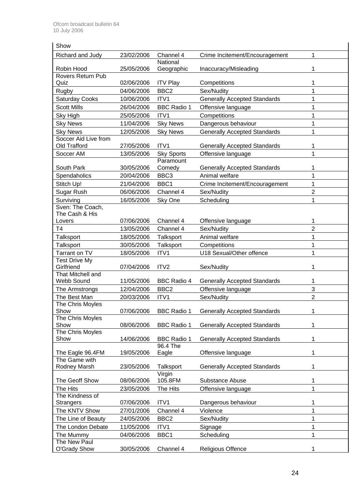| Show                               |                          |                     |                                                       |                     |
|------------------------------------|--------------------------|---------------------|-------------------------------------------------------|---------------------|
| Richard and Judy                   | 23/02/2006               | Channel 4           | Crime Incitement/Encouragement                        | 1                   |
|                                    |                          | National            |                                                       |                     |
| Robin Hood                         | 25/05/2006               | Geographic          | Inaccuracy/Misleading                                 | 1                   |
| Rovers Return Pub                  |                          |                     |                                                       |                     |
| Quiz                               | 02/06/2006               | <b>ITV Play</b>     | Competitions                                          | 1                   |
| Rugby                              | 04/06/2006               | BBC <sub>2</sub>    | Sex/Nudity                                            | 1                   |
| <b>Saturday Cooks</b>              | 10/06/2006               | ITV1                | <b>Generally Accepted Standards</b>                   | 1                   |
| <b>Scott Mills</b>                 | 26/04/2006               | <b>BBC Radio 1</b>  | Offensive language                                    | 1                   |
| Sky High                           | 25/05/2006               | ITV1                | Competitions                                          | 1                   |
| <b>Sky News</b>                    | 11/04/2006               | <b>Sky News</b>     | Dangerous behaviour                                   | 1                   |
| <b>Sky News</b>                    | 12/05/2006               | <b>Sky News</b>     | <b>Generally Accepted Standards</b>                   | 1                   |
| Soccer Aid Live from               |                          |                     |                                                       |                     |
| Old Trafford                       | 27/05/2006               | ITV1                | <b>Generally Accepted Standards</b>                   | 1                   |
| Soccer AM                          | 13/05/2006               | <b>Sky Sports</b>   | Offensive language                                    | 1                   |
| South Park                         |                          | Paramount<br>Comedy |                                                       | 1                   |
|                                    | 30/05/2006<br>20/04/2006 | BBC <sub>3</sub>    | <b>Generally Accepted Standards</b><br>Animal welfare | 1                   |
| Spendaholics                       |                          |                     |                                                       |                     |
| Stitch Up!                         | 21/04/2006               | BBC1                | Crime Incitement/Encouragement                        | 1<br>$\overline{2}$ |
| Sugar Rush                         | 06/06/2006               | Channel 4           | Sex/Nudity                                            |                     |
| Surviving                          | 16/05/2006               | Sky One             | Scheduling                                            | 1                   |
| Sven: The Coach,<br>The Cash & His |                          |                     |                                                       |                     |
| Lovers                             | 07/06/2006               | Channel 4           | Offensive language                                    | 1                   |
| T4                                 | 13/05/2006               | Channel 4           | Sex/Nudity                                            | $\overline{2}$      |
| Talksport                          | 18/05/2006               | Talksport           | Animal welfare                                        | 1                   |
| <b>Talksport</b>                   | 30/05/2006               | Talksport           | Competitions                                          | 1                   |
| Tarrant on TV                      | 18/05/2006               | ITV1                | U18 Sexual/Other offence                              | 1                   |
| <b>Test Drive My</b>               |                          |                     |                                                       |                     |
| Girlfriend                         | 07/04/2006               | ITV2                | Sex/Nudity                                            | 1                   |
| That Mitchell and                  |                          |                     |                                                       |                     |
| Webb Sound                         | 11/05/2006               | <b>BBC Radio 4</b>  | <b>Generally Accepted Standards</b>                   | 1                   |
| The Armstrongs                     | 12/04/2006               | BBC <sub>2</sub>    | Offensive language                                    | 3                   |
| The Best Man                       | 20/03/2006               | ITV1                | Sex/Nudity                                            | $\overline{2}$      |
| The Chris Moyles                   |                          |                     |                                                       |                     |
| Show                               | 07/06/2006               | <b>BBC Radio 1</b>  | <b>Generally Accepted Standards</b>                   | 1                   |
| The Chris Moyles                   |                          |                     |                                                       |                     |
| Show<br>The Chris Moyles           | 08/06/2006               | <b>BBC Radio 1</b>  | <b>Generally Accepted Standards</b>                   | 1                   |
| Show                               | 14/06/2006               | <b>BBC Radio 1</b>  | <b>Generally Accepted Standards</b>                   | 1                   |
|                                    |                          | 96.4 The            |                                                       |                     |
| The Eagle 96.4FM                   | 19/05/2006               | Eagle               | Offensive language                                    | 1                   |
| The Game with                      |                          |                     |                                                       |                     |
| Rodney Marsh                       | 23/05/2006               | Talksport           | <b>Generally Accepted Standards</b>                   | 1                   |
|                                    |                          | Virgin              |                                                       |                     |
| The Geoff Show                     | 08/06/2006               | 105.8FM             | Substance Abuse                                       | 1                   |
| The Hits                           | 23/05/2006               | The Hits            | Offensive language                                    | 1                   |
| The Kindness of                    | 07/06/2006               | ITV1                | Dangerous behaviour                                   | 1                   |
| <b>Strangers</b>                   |                          |                     |                                                       | $\overline{1}$      |
| The KNTV Show                      | 27/01/2006               | Channel 4           | Violence                                              | 1                   |
| The Line of Beauty                 | 24/05/2006               | BBC <sub>2</sub>    | Sex/Nudity                                            |                     |
| The London Debate                  | 11/05/2006               | ITV1                | Signage                                               | 1                   |
| The Mummy<br>The New Paul          | 04/06/2006               | BBC1                | Scheduling                                            | 1                   |
| <b>O'Grady Show</b>                | 30/05/2006               | Channel 4           | Religious Offence                                     | 1                   |
|                                    |                          |                     |                                                       |                     |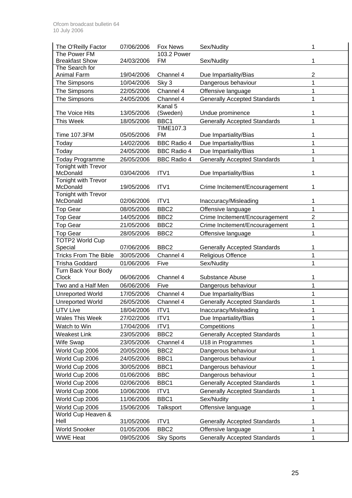| The Power FM<br>103.2 Power<br><b>Breakfast Show</b><br>1<br>24/03/2006<br><b>FM</b><br>Sex/Nudity<br>The Search for<br>2<br>Animal Farm<br>19/04/2006<br>Channel 4<br>Due Impartiality/Bias<br>1<br>The Simpsons<br>Sky 3<br>10/04/2006<br>Dangerous behaviour<br>$\mathbf 1$<br>The Simpsons<br>22/05/2006<br>Channel 4<br>Offensive language<br>Channel 4<br>The Simpsons<br>24/05/2006<br><b>Generally Accepted Standards</b><br>1<br>Kanal 5<br>The Voice Hits<br>13/05/2006<br>(Sweden)<br>Undue prominence<br>1<br>1<br>This Week<br>18/05/2006<br>BBC1<br><b>Generally Accepted Standards</b><br><b>TIME107.3</b><br><b>Time 107.3FM</b><br>05/05/2006<br><b>FM</b><br>1<br>Due Impartiality/Bias<br>1<br><b>BBC Radio 4</b><br>14/02/2006<br>Due Impartiality/Bias<br>Today<br>1<br><b>BBC Radio 4</b><br>24/05/2006<br>Due Impartiality/Bias<br>Today<br><b>BBC Radio 4</b><br>1<br>26/05/2006<br><b>Generally Accepted Standards</b><br><b>Today Programme</b><br>Tonight with Trevor<br>McDonald<br>03/04/2006<br>ITV1<br>Due Impartiality/Bias<br>1<br><b>Tonight with Trevor</b><br>McDonald<br>ITV1<br>1<br>19/05/2006<br>Crime Incitement/Encouragement<br>Tonight with Trevor<br>McDonald<br>ITV1<br>02/06/2006<br>1<br>Inaccuracy/Misleading<br>BBC <sub>2</sub><br>1<br>08/05/2006<br><b>Top Gear</b><br>Offensive language<br>$\overline{c}$<br>BBC <sub>2</sub><br>Crime Incitement/Encouragement<br><b>Top Gear</b><br>14/05/2006<br>1<br><b>Top Gear</b><br>BBC <sub>2</sub><br>21/05/2006<br>Crime Incitement/Encouragement<br><b>Top Gear</b><br>BBC <sub>2</sub><br>28/05/2006<br>1<br>Offensive language<br><b>TOTP2 World Cup</b><br>07/06/2006<br>BBC <sub>2</sub><br>Special<br><b>Generally Accepted Standards</b><br>1<br>1<br><b>Tricks From The Bible</b><br>30/05/2006<br>Channel 4<br>Religious Offence<br>1<br><b>Trisha Goddard</b><br>01/06/2006<br>Five<br>Sex/Nudity<br>Turn Back Your Body<br><b>Clock</b><br>06/06/2006<br>Channel 4<br><b>Substance Abuse</b><br>1<br>1<br>Two and a Half Men<br>Five<br>06/06/2006<br>Dangerous behaviour<br>Due Impartiality/Bias<br>1<br><b>Unreported World</b><br>17/05/2006<br>Channel 4<br>1<br><b>Unreported World</b><br>26/05/2006<br><b>Generally Accepted Standards</b><br>Channel 4<br>UTV Live<br>18/04/2006<br>ITV1<br>Inaccuracy/Misleading<br>1<br>1<br><b>Wales This Week</b><br>ITV1<br>27/02/2006<br>Due Impartiality/Bias<br>1<br>Watch to Win<br>ITV1<br>17/04/2006<br>Competitions<br><b>Weakest Link</b><br>BBC <sub>2</sub><br>1<br>23/05/2006<br><b>Generally Accepted Standards</b><br>1<br>Wife Swap<br>23/05/2006<br>Channel 4<br>U18 in Programmes<br>1<br>World Cup 2006<br>BBC <sub>2</sub><br>20/05/2006<br>Dangerous behaviour<br>1<br>World Cup 2006<br>24/05/2006<br>BBC1<br>Dangerous behaviour |
|------------------------------------------------------------------------------------------------------------------------------------------------------------------------------------------------------------------------------------------------------------------------------------------------------------------------------------------------------------------------------------------------------------------------------------------------------------------------------------------------------------------------------------------------------------------------------------------------------------------------------------------------------------------------------------------------------------------------------------------------------------------------------------------------------------------------------------------------------------------------------------------------------------------------------------------------------------------------------------------------------------------------------------------------------------------------------------------------------------------------------------------------------------------------------------------------------------------------------------------------------------------------------------------------------------------------------------------------------------------------------------------------------------------------------------------------------------------------------------------------------------------------------------------------------------------------------------------------------------------------------------------------------------------------------------------------------------------------------------------------------------------------------------------------------------------------------------------------------------------------------------------------------------------------------------------------------------------------------------------------------------------------------------------------------------------------------------------------------------------------------------------------------------------------------------------------------------------------------------------------------------------------------------------------------------------------------------------------------------------------------------------------------------------------------------------------------------------------------------------------------------------------------------------------------------------------------------------------------------------------------------------------------------------------------------------------------------------------------------------------------------------------------------------------------------------|
|                                                                                                                                                                                                                                                                                                                                                                                                                                                                                                                                                                                                                                                                                                                                                                                                                                                                                                                                                                                                                                                                                                                                                                                                                                                                                                                                                                                                                                                                                                                                                                                                                                                                                                                                                                                                                                                                                                                                                                                                                                                                                                                                                                                                                                                                                                                                                                                                                                                                                                                                                                                                                                                                                                                                                                                                                  |
|                                                                                                                                                                                                                                                                                                                                                                                                                                                                                                                                                                                                                                                                                                                                                                                                                                                                                                                                                                                                                                                                                                                                                                                                                                                                                                                                                                                                                                                                                                                                                                                                                                                                                                                                                                                                                                                                                                                                                                                                                                                                                                                                                                                                                                                                                                                                                                                                                                                                                                                                                                                                                                                                                                                                                                                                                  |
|                                                                                                                                                                                                                                                                                                                                                                                                                                                                                                                                                                                                                                                                                                                                                                                                                                                                                                                                                                                                                                                                                                                                                                                                                                                                                                                                                                                                                                                                                                                                                                                                                                                                                                                                                                                                                                                                                                                                                                                                                                                                                                                                                                                                                                                                                                                                                                                                                                                                                                                                                                                                                                                                                                                                                                                                                  |
|                                                                                                                                                                                                                                                                                                                                                                                                                                                                                                                                                                                                                                                                                                                                                                                                                                                                                                                                                                                                                                                                                                                                                                                                                                                                                                                                                                                                                                                                                                                                                                                                                                                                                                                                                                                                                                                                                                                                                                                                                                                                                                                                                                                                                                                                                                                                                                                                                                                                                                                                                                                                                                                                                                                                                                                                                  |
|                                                                                                                                                                                                                                                                                                                                                                                                                                                                                                                                                                                                                                                                                                                                                                                                                                                                                                                                                                                                                                                                                                                                                                                                                                                                                                                                                                                                                                                                                                                                                                                                                                                                                                                                                                                                                                                                                                                                                                                                                                                                                                                                                                                                                                                                                                                                                                                                                                                                                                                                                                                                                                                                                                                                                                                                                  |
|                                                                                                                                                                                                                                                                                                                                                                                                                                                                                                                                                                                                                                                                                                                                                                                                                                                                                                                                                                                                                                                                                                                                                                                                                                                                                                                                                                                                                                                                                                                                                                                                                                                                                                                                                                                                                                                                                                                                                                                                                                                                                                                                                                                                                                                                                                                                                                                                                                                                                                                                                                                                                                                                                                                                                                                                                  |
|                                                                                                                                                                                                                                                                                                                                                                                                                                                                                                                                                                                                                                                                                                                                                                                                                                                                                                                                                                                                                                                                                                                                                                                                                                                                                                                                                                                                                                                                                                                                                                                                                                                                                                                                                                                                                                                                                                                                                                                                                                                                                                                                                                                                                                                                                                                                                                                                                                                                                                                                                                                                                                                                                                                                                                                                                  |
|                                                                                                                                                                                                                                                                                                                                                                                                                                                                                                                                                                                                                                                                                                                                                                                                                                                                                                                                                                                                                                                                                                                                                                                                                                                                                                                                                                                                                                                                                                                                                                                                                                                                                                                                                                                                                                                                                                                                                                                                                                                                                                                                                                                                                                                                                                                                                                                                                                                                                                                                                                                                                                                                                                                                                                                                                  |
|                                                                                                                                                                                                                                                                                                                                                                                                                                                                                                                                                                                                                                                                                                                                                                                                                                                                                                                                                                                                                                                                                                                                                                                                                                                                                                                                                                                                                                                                                                                                                                                                                                                                                                                                                                                                                                                                                                                                                                                                                                                                                                                                                                                                                                                                                                                                                                                                                                                                                                                                                                                                                                                                                                                                                                                                                  |
|                                                                                                                                                                                                                                                                                                                                                                                                                                                                                                                                                                                                                                                                                                                                                                                                                                                                                                                                                                                                                                                                                                                                                                                                                                                                                                                                                                                                                                                                                                                                                                                                                                                                                                                                                                                                                                                                                                                                                                                                                                                                                                                                                                                                                                                                                                                                                                                                                                                                                                                                                                                                                                                                                                                                                                                                                  |
|                                                                                                                                                                                                                                                                                                                                                                                                                                                                                                                                                                                                                                                                                                                                                                                                                                                                                                                                                                                                                                                                                                                                                                                                                                                                                                                                                                                                                                                                                                                                                                                                                                                                                                                                                                                                                                                                                                                                                                                                                                                                                                                                                                                                                                                                                                                                                                                                                                                                                                                                                                                                                                                                                                                                                                                                                  |
|                                                                                                                                                                                                                                                                                                                                                                                                                                                                                                                                                                                                                                                                                                                                                                                                                                                                                                                                                                                                                                                                                                                                                                                                                                                                                                                                                                                                                                                                                                                                                                                                                                                                                                                                                                                                                                                                                                                                                                                                                                                                                                                                                                                                                                                                                                                                                                                                                                                                                                                                                                                                                                                                                                                                                                                                                  |
|                                                                                                                                                                                                                                                                                                                                                                                                                                                                                                                                                                                                                                                                                                                                                                                                                                                                                                                                                                                                                                                                                                                                                                                                                                                                                                                                                                                                                                                                                                                                                                                                                                                                                                                                                                                                                                                                                                                                                                                                                                                                                                                                                                                                                                                                                                                                                                                                                                                                                                                                                                                                                                                                                                                                                                                                                  |
|                                                                                                                                                                                                                                                                                                                                                                                                                                                                                                                                                                                                                                                                                                                                                                                                                                                                                                                                                                                                                                                                                                                                                                                                                                                                                                                                                                                                                                                                                                                                                                                                                                                                                                                                                                                                                                                                                                                                                                                                                                                                                                                                                                                                                                                                                                                                                                                                                                                                                                                                                                                                                                                                                                                                                                                                                  |
|                                                                                                                                                                                                                                                                                                                                                                                                                                                                                                                                                                                                                                                                                                                                                                                                                                                                                                                                                                                                                                                                                                                                                                                                                                                                                                                                                                                                                                                                                                                                                                                                                                                                                                                                                                                                                                                                                                                                                                                                                                                                                                                                                                                                                                                                                                                                                                                                                                                                                                                                                                                                                                                                                                                                                                                                                  |
|                                                                                                                                                                                                                                                                                                                                                                                                                                                                                                                                                                                                                                                                                                                                                                                                                                                                                                                                                                                                                                                                                                                                                                                                                                                                                                                                                                                                                                                                                                                                                                                                                                                                                                                                                                                                                                                                                                                                                                                                                                                                                                                                                                                                                                                                                                                                                                                                                                                                                                                                                                                                                                                                                                                                                                                                                  |
|                                                                                                                                                                                                                                                                                                                                                                                                                                                                                                                                                                                                                                                                                                                                                                                                                                                                                                                                                                                                                                                                                                                                                                                                                                                                                                                                                                                                                                                                                                                                                                                                                                                                                                                                                                                                                                                                                                                                                                                                                                                                                                                                                                                                                                                                                                                                                                                                                                                                                                                                                                                                                                                                                                                                                                                                                  |
|                                                                                                                                                                                                                                                                                                                                                                                                                                                                                                                                                                                                                                                                                                                                                                                                                                                                                                                                                                                                                                                                                                                                                                                                                                                                                                                                                                                                                                                                                                                                                                                                                                                                                                                                                                                                                                                                                                                                                                                                                                                                                                                                                                                                                                                                                                                                                                                                                                                                                                                                                                                                                                                                                                                                                                                                                  |
|                                                                                                                                                                                                                                                                                                                                                                                                                                                                                                                                                                                                                                                                                                                                                                                                                                                                                                                                                                                                                                                                                                                                                                                                                                                                                                                                                                                                                                                                                                                                                                                                                                                                                                                                                                                                                                                                                                                                                                                                                                                                                                                                                                                                                                                                                                                                                                                                                                                                                                                                                                                                                                                                                                                                                                                                                  |
|                                                                                                                                                                                                                                                                                                                                                                                                                                                                                                                                                                                                                                                                                                                                                                                                                                                                                                                                                                                                                                                                                                                                                                                                                                                                                                                                                                                                                                                                                                                                                                                                                                                                                                                                                                                                                                                                                                                                                                                                                                                                                                                                                                                                                                                                                                                                                                                                                                                                                                                                                                                                                                                                                                                                                                                                                  |
|                                                                                                                                                                                                                                                                                                                                                                                                                                                                                                                                                                                                                                                                                                                                                                                                                                                                                                                                                                                                                                                                                                                                                                                                                                                                                                                                                                                                                                                                                                                                                                                                                                                                                                                                                                                                                                                                                                                                                                                                                                                                                                                                                                                                                                                                                                                                                                                                                                                                                                                                                                                                                                                                                                                                                                                                                  |
|                                                                                                                                                                                                                                                                                                                                                                                                                                                                                                                                                                                                                                                                                                                                                                                                                                                                                                                                                                                                                                                                                                                                                                                                                                                                                                                                                                                                                                                                                                                                                                                                                                                                                                                                                                                                                                                                                                                                                                                                                                                                                                                                                                                                                                                                                                                                                                                                                                                                                                                                                                                                                                                                                                                                                                                                                  |
|                                                                                                                                                                                                                                                                                                                                                                                                                                                                                                                                                                                                                                                                                                                                                                                                                                                                                                                                                                                                                                                                                                                                                                                                                                                                                                                                                                                                                                                                                                                                                                                                                                                                                                                                                                                                                                                                                                                                                                                                                                                                                                                                                                                                                                                                                                                                                                                                                                                                                                                                                                                                                                                                                                                                                                                                                  |
|                                                                                                                                                                                                                                                                                                                                                                                                                                                                                                                                                                                                                                                                                                                                                                                                                                                                                                                                                                                                                                                                                                                                                                                                                                                                                                                                                                                                                                                                                                                                                                                                                                                                                                                                                                                                                                                                                                                                                                                                                                                                                                                                                                                                                                                                                                                                                                                                                                                                                                                                                                                                                                                                                                                                                                                                                  |
|                                                                                                                                                                                                                                                                                                                                                                                                                                                                                                                                                                                                                                                                                                                                                                                                                                                                                                                                                                                                                                                                                                                                                                                                                                                                                                                                                                                                                                                                                                                                                                                                                                                                                                                                                                                                                                                                                                                                                                                                                                                                                                                                                                                                                                                                                                                                                                                                                                                                                                                                                                                                                                                                                                                                                                                                                  |
|                                                                                                                                                                                                                                                                                                                                                                                                                                                                                                                                                                                                                                                                                                                                                                                                                                                                                                                                                                                                                                                                                                                                                                                                                                                                                                                                                                                                                                                                                                                                                                                                                                                                                                                                                                                                                                                                                                                                                                                                                                                                                                                                                                                                                                                                                                                                                                                                                                                                                                                                                                                                                                                                                                                                                                                                                  |
|                                                                                                                                                                                                                                                                                                                                                                                                                                                                                                                                                                                                                                                                                                                                                                                                                                                                                                                                                                                                                                                                                                                                                                                                                                                                                                                                                                                                                                                                                                                                                                                                                                                                                                                                                                                                                                                                                                                                                                                                                                                                                                                                                                                                                                                                                                                                                                                                                                                                                                                                                                                                                                                                                                                                                                                                                  |
|                                                                                                                                                                                                                                                                                                                                                                                                                                                                                                                                                                                                                                                                                                                                                                                                                                                                                                                                                                                                                                                                                                                                                                                                                                                                                                                                                                                                                                                                                                                                                                                                                                                                                                                                                                                                                                                                                                                                                                                                                                                                                                                                                                                                                                                                                                                                                                                                                                                                                                                                                                                                                                                                                                                                                                                                                  |
|                                                                                                                                                                                                                                                                                                                                                                                                                                                                                                                                                                                                                                                                                                                                                                                                                                                                                                                                                                                                                                                                                                                                                                                                                                                                                                                                                                                                                                                                                                                                                                                                                                                                                                                                                                                                                                                                                                                                                                                                                                                                                                                                                                                                                                                                                                                                                                                                                                                                                                                                                                                                                                                                                                                                                                                                                  |
|                                                                                                                                                                                                                                                                                                                                                                                                                                                                                                                                                                                                                                                                                                                                                                                                                                                                                                                                                                                                                                                                                                                                                                                                                                                                                                                                                                                                                                                                                                                                                                                                                                                                                                                                                                                                                                                                                                                                                                                                                                                                                                                                                                                                                                                                                                                                                                                                                                                                                                                                                                                                                                                                                                                                                                                                                  |
|                                                                                                                                                                                                                                                                                                                                                                                                                                                                                                                                                                                                                                                                                                                                                                                                                                                                                                                                                                                                                                                                                                                                                                                                                                                                                                                                                                                                                                                                                                                                                                                                                                                                                                                                                                                                                                                                                                                                                                                                                                                                                                                                                                                                                                                                                                                                                                                                                                                                                                                                                                                                                                                                                                                                                                                                                  |
|                                                                                                                                                                                                                                                                                                                                                                                                                                                                                                                                                                                                                                                                                                                                                                                                                                                                                                                                                                                                                                                                                                                                                                                                                                                                                                                                                                                                                                                                                                                                                                                                                                                                                                                                                                                                                                                                                                                                                                                                                                                                                                                                                                                                                                                                                                                                                                                                                                                                                                                                                                                                                                                                                                                                                                                                                  |
|                                                                                                                                                                                                                                                                                                                                                                                                                                                                                                                                                                                                                                                                                                                                                                                                                                                                                                                                                                                                                                                                                                                                                                                                                                                                                                                                                                                                                                                                                                                                                                                                                                                                                                                                                                                                                                                                                                                                                                                                                                                                                                                                                                                                                                                                                                                                                                                                                                                                                                                                                                                                                                                                                                                                                                                                                  |
|                                                                                                                                                                                                                                                                                                                                                                                                                                                                                                                                                                                                                                                                                                                                                                                                                                                                                                                                                                                                                                                                                                                                                                                                                                                                                                                                                                                                                                                                                                                                                                                                                                                                                                                                                                                                                                                                                                                                                                                                                                                                                                                                                                                                                                                                                                                                                                                                                                                                                                                                                                                                                                                                                                                                                                                                                  |
|                                                                                                                                                                                                                                                                                                                                                                                                                                                                                                                                                                                                                                                                                                                                                                                                                                                                                                                                                                                                                                                                                                                                                                                                                                                                                                                                                                                                                                                                                                                                                                                                                                                                                                                                                                                                                                                                                                                                                                                                                                                                                                                                                                                                                                                                                                                                                                                                                                                                                                                                                                                                                                                                                                                                                                                                                  |
|                                                                                                                                                                                                                                                                                                                                                                                                                                                                                                                                                                                                                                                                                                                                                                                                                                                                                                                                                                                                                                                                                                                                                                                                                                                                                                                                                                                                                                                                                                                                                                                                                                                                                                                                                                                                                                                                                                                                                                                                                                                                                                                                                                                                                                                                                                                                                                                                                                                                                                                                                                                                                                                                                                                                                                                                                  |
|                                                                                                                                                                                                                                                                                                                                                                                                                                                                                                                                                                                                                                                                                                                                                                                                                                                                                                                                                                                                                                                                                                                                                                                                                                                                                                                                                                                                                                                                                                                                                                                                                                                                                                                                                                                                                                                                                                                                                                                                                                                                                                                                                                                                                                                                                                                                                                                                                                                                                                                                                                                                                                                                                                                                                                                                                  |
|                                                                                                                                                                                                                                                                                                                                                                                                                                                                                                                                                                                                                                                                                                                                                                                                                                                                                                                                                                                                                                                                                                                                                                                                                                                                                                                                                                                                                                                                                                                                                                                                                                                                                                                                                                                                                                                                                                                                                                                                                                                                                                                                                                                                                                                                                                                                                                                                                                                                                                                                                                                                                                                                                                                                                                                                                  |
|                                                                                                                                                                                                                                                                                                                                                                                                                                                                                                                                                                                                                                                                                                                                                                                                                                                                                                                                                                                                                                                                                                                                                                                                                                                                                                                                                                                                                                                                                                                                                                                                                                                                                                                                                                                                                                                                                                                                                                                                                                                                                                                                                                                                                                                                                                                                                                                                                                                                                                                                                                                                                                                                                                                                                                                                                  |
|                                                                                                                                                                                                                                                                                                                                                                                                                                                                                                                                                                                                                                                                                                                                                                                                                                                                                                                                                                                                                                                                                                                                                                                                                                                                                                                                                                                                                                                                                                                                                                                                                                                                                                                                                                                                                                                                                                                                                                                                                                                                                                                                                                                                                                                                                                                                                                                                                                                                                                                                                                                                                                                                                                                                                                                                                  |
| 1<br>World Cup 2006<br>BBC1<br>Dangerous behaviour<br>30/05/2006                                                                                                                                                                                                                                                                                                                                                                                                                                                                                                                                                                                                                                                                                                                                                                                                                                                                                                                                                                                                                                                                                                                                                                                                                                                                                                                                                                                                                                                                                                                                                                                                                                                                                                                                                                                                                                                                                                                                                                                                                                                                                                                                                                                                                                                                                                                                                                                                                                                                                                                                                                                                                                                                                                                                                 |
| 1<br>World Cup 2006<br>01/06/2006<br><b>BBC</b><br>Dangerous behaviour                                                                                                                                                                                                                                                                                                                                                                                                                                                                                                                                                                                                                                                                                                                                                                                                                                                                                                                                                                                                                                                                                                                                                                                                                                                                                                                                                                                                                                                                                                                                                                                                                                                                                                                                                                                                                                                                                                                                                                                                                                                                                                                                                                                                                                                                                                                                                                                                                                                                                                                                                                                                                                                                                                                                           |
| World Cup 2006<br>BBC1<br>1<br>02/06/2006<br><b>Generally Accepted Standards</b>                                                                                                                                                                                                                                                                                                                                                                                                                                                                                                                                                                                                                                                                                                                                                                                                                                                                                                                                                                                                                                                                                                                                                                                                                                                                                                                                                                                                                                                                                                                                                                                                                                                                                                                                                                                                                                                                                                                                                                                                                                                                                                                                                                                                                                                                                                                                                                                                                                                                                                                                                                                                                                                                                                                                 |
| 1<br>World Cup 2006<br>ITV1<br>10/06/2006<br><b>Generally Accepted Standards</b>                                                                                                                                                                                                                                                                                                                                                                                                                                                                                                                                                                                                                                                                                                                                                                                                                                                                                                                                                                                                                                                                                                                                                                                                                                                                                                                                                                                                                                                                                                                                                                                                                                                                                                                                                                                                                                                                                                                                                                                                                                                                                                                                                                                                                                                                                                                                                                                                                                                                                                                                                                                                                                                                                                                                 |
| 1<br>World Cup 2006<br>11/06/2006<br>BBC1<br>Sex/Nudity                                                                                                                                                                                                                                                                                                                                                                                                                                                                                                                                                                                                                                                                                                                                                                                                                                                                                                                                                                                                                                                                                                                                                                                                                                                                                                                                                                                                                                                                                                                                                                                                                                                                                                                                                                                                                                                                                                                                                                                                                                                                                                                                                                                                                                                                                                                                                                                                                                                                                                                                                                                                                                                                                                                                                          |
| 1<br>World Cup 2006<br>15/06/2006<br>Talksport<br>Offensive language                                                                                                                                                                                                                                                                                                                                                                                                                                                                                                                                                                                                                                                                                                                                                                                                                                                                                                                                                                                                                                                                                                                                                                                                                                                                                                                                                                                                                                                                                                                                                                                                                                                                                                                                                                                                                                                                                                                                                                                                                                                                                                                                                                                                                                                                                                                                                                                                                                                                                                                                                                                                                                                                                                                                             |
| World Cup Heaven &                                                                                                                                                                                                                                                                                                                                                                                                                                                                                                                                                                                                                                                                                                                                                                                                                                                                                                                                                                                                                                                                                                                                                                                                                                                                                                                                                                                                                                                                                                                                                                                                                                                                                                                                                                                                                                                                                                                                                                                                                                                                                                                                                                                                                                                                                                                                                                                                                                                                                                                                                                                                                                                                                                                                                                                               |
| Hell<br>31/05/2006<br>ITV1<br><b>Generally Accepted Standards</b><br>1                                                                                                                                                                                                                                                                                                                                                                                                                                                                                                                                                                                                                                                                                                                                                                                                                                                                                                                                                                                                                                                                                                                                                                                                                                                                                                                                                                                                                                                                                                                                                                                                                                                                                                                                                                                                                                                                                                                                                                                                                                                                                                                                                                                                                                                                                                                                                                                                                                                                                                                                                                                                                                                                                                                                           |
| <b>World Snooker</b><br>BBC <sub>2</sub><br>1<br>01/05/2006<br>Offensive language                                                                                                                                                                                                                                                                                                                                                                                                                                                                                                                                                                                                                                                                                                                                                                                                                                                                                                                                                                                                                                                                                                                                                                                                                                                                                                                                                                                                                                                                                                                                                                                                                                                                                                                                                                                                                                                                                                                                                                                                                                                                                                                                                                                                                                                                                                                                                                                                                                                                                                                                                                                                                                                                                                                                |
| <b>WWE Heat</b><br><b>Generally Accepted Standards</b><br>1<br>09/05/2006<br><b>Sky Sports</b>                                                                                                                                                                                                                                                                                                                                                                                                                                                                                                                                                                                                                                                                                                                                                                                                                                                                                                                                                                                                                                                                                                                                                                                                                                                                                                                                                                                                                                                                                                                                                                                                                                                                                                                                                                                                                                                                                                                                                                                                                                                                                                                                                                                                                                                                                                                                                                                                                                                                                                                                                                                                                                                                                                                   |